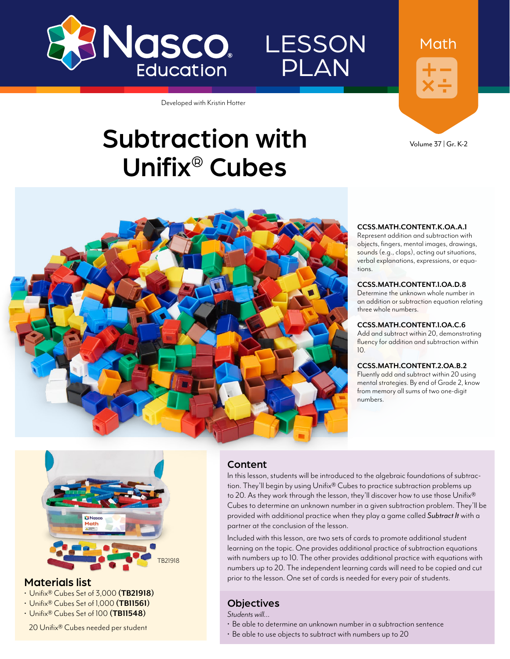

LESSON PLAN



Volume 37 | Gr. K-2



Subtraction with

Developed with Kristin Hotter

Unifix® Cubes

## **CCSS.MATH.CONTENT.K.OA.A.1**<br>Represent addition and subtraction with

objects, fingers, mental images, drawings, sounds (e.g., claps), acting out situations, verbal explanations, expressions, or equations.

#### **CCSS.MATH.CONTENT.1.OA.D.8**

Determine the unknown whole number in an addition or subtraction equation relating three whole numbers.

#### **CCSS.MATH.CONTENT.1.OA.C.6**

Add and subtract within 20, demonstrating fluency for addition and subtraction within  $1<sub>0</sub>$ 

#### **CCSS.MATH.CONTENT.2.OA.B.2**

Fluently add and subtract within 20 using mental strategies. By end of Grade 2, know from memory all sums of two one-digit numbers.



#### Materials list

- Unifix® Cubes Set of 3,000 **([TB21918\)](http://www.enasco.com/p/TB21918)**
- Unifix® Cubes Set of 1,000 **([TB11561](http://www.enasco.com/p/TB11561))**
- Unifix® Cubes Set of 100 **[\(TB11548\)](http://www.enasco.com/p/TB11548)**

20 Unifix® Cubes needed per student

#### Content

In this lesson, students will be introduced to the algebraic foundations of subtraction. They'll begin by using Unifix® Cubes to practice subtraction problems up to 20. As they work through the lesson, they'll discover how to use those Unifix® Cubes to determine an unknown number in a given subtraction problem. They'll be provided with additional practice when they play a game called *Subtract It* with a partner at the conclusion of the lesson.

Included with this lesson, are two sets of cards to promote additional student learning on the topic. One provides additional practice of subtraction equations with numbers up to 10. The other provides additional practice with equations with numbers up to 20. The independent learning cards will need to be copied and cut prior to the lesson. One set of cards is needed for every pair of students.

#### **Objectives**

*Students will…*

- Be able to determine an unknown number in a subtraction sentence
- Be able to use objects to subtract with numbers up to 20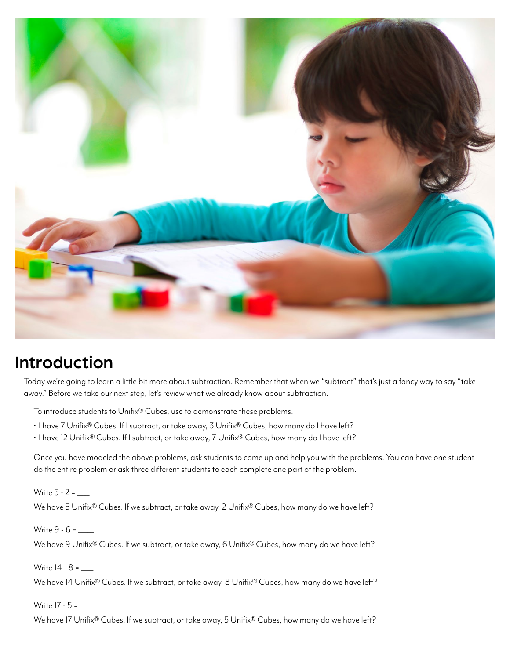

# Introduction

Today we're going to learn a little bit more about subtraction. Remember that when we "subtract" that's just a fancy way to say "take away." Before we take our next step, let's review what we already know about subtraction.

To introduce students to Unifix® Cubes, use to demonstrate these problems.

- I have 7 Unifix® Cubes. If I subtract, or take away, 3 Unifix® Cubes, how many do I have left?
- $\cdot$  I have 12 Unifix® Cubes. If I subtract, or take away, 7 Unifix® Cubes, how many do I have left?

Once you have modeled the above problems, ask students to come up and help you with the problems. You can have one student do the entire problem or ask three different students to each complete one part of the problem.

Write  $5 - 2 =$ We have 5 Unifix® Cubes. If we subtract, or take away, 2 Unifix® Cubes, how many do we have left?

Write 9 - 6 = \_\_\_\_\_ We have 9 Unifix® Cubes. If we subtract, or take away, 6 Unifix® Cubes, how many do we have left?

We have 14 Unifix® Cubes. If we subtract, or take away, 8 Unifix® Cubes, how many do we have left?

Write 17 - 5 = \_\_\_\_\_

Write 14 - 8 = \_\_\_\_

We have 17 Unifix® Cubes. If we subtract, or take away, 5 Unifix® Cubes, how many do we have left?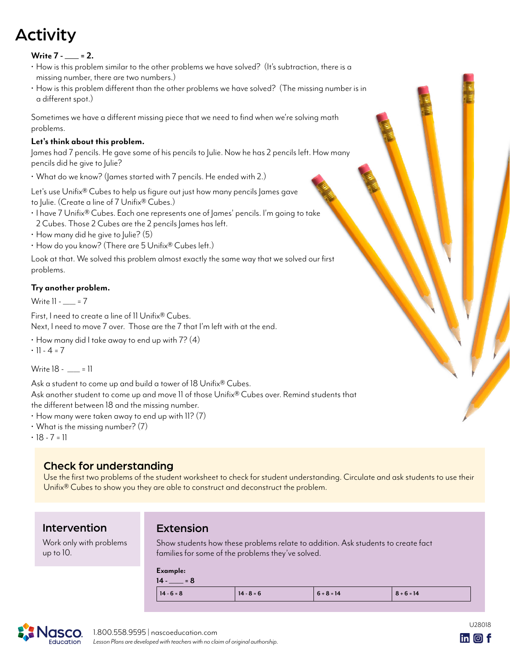# Activity

#### **Write 7 - = 2.**

- How is this problem similar to the other problems we have solved? (It's subtraction, there is a missing number, there are two numbers.)
- How is this problem different than the other problems we have solved? (The missing number is in a different spot.)

Sometimes we have a different missing piece that we need to find when we're solving math problems.

#### **Let's think about this problem.**

James had 7 pencils. He gave some of his pencils to Julie. Now he has 2 pencils left. How many pencils did he give to Julie?

• What do we know? (James started with 7 pencils. He ended with 2.)

Let's use Unifix® Cubes to help us figure out just how many pencils James gave

to Julie. (Create a line of 7 Unifix® Cubes.)

- I have 7 Unifix® Cubes. Each one represents one of James' pencils. I'm going to take
- 2 Cubes. Those 2 Cubes are the 2 pencils James has left.
- $\cdot$  How many did he give to Julie? (5)
- How do you know? (There are 5 Unifix® Cubes left.)

Look at that. We solved this problem almost exactly the same way that we solved our first problems.

#### **Try another problem.**

Write  $11 - 7 = 7$ 

First, I need to create a line of 11 Unifix® Cubes.

Next, I need to move 7 over. Those are the 7 that I'm left with at the end.

 $\cdot$  How many did I take away to end up with 7? (4)

 $\cdot$  11 - 4 = 7

Write 18 - | = 11

Ask a student to come up and build a tower of 18 Unifix<sup>®</sup> Cubes.

Ask another student to come up and move 11 of those Unifix® Cubes over. Remind students that the different between 18 and the missing number.

- $\cdot$  How many were taken away to end up with 11? (7)
- $\cdot$  What is the missing number? (7)
- $\cdot$  18 7 = 11

## Check for understanding

Use the first two problems of the student worksheet to check for student understanding. Circulate and ask students to use their Unifix® Cubes to show you they are able to construct and deconstruct the problem.

### Intervention

Work only with problems up to 10.

### Extension

Show students how these problems relate to addition. Ask students to create fact families for some of the problems they've solved.

#### **Example:**

| $= 8$        |              |              |              |
|--------------|--------------|--------------|--------------|
| $14 - 6 = 8$ | $14 - 8 = 6$ | $6 + 8 = 14$ | $8 + 6 = 14$ |



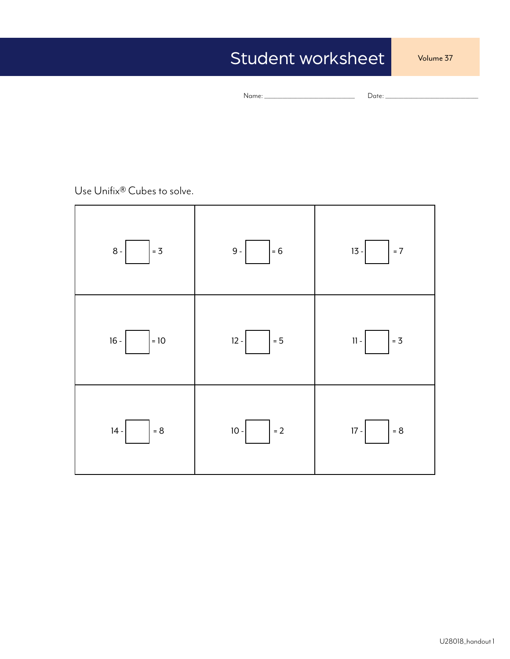# Student worksheet

Volume 37

```
Name: ___________________________________ Date: ____________________________________
```
Use Unifix® Cubes to solve.

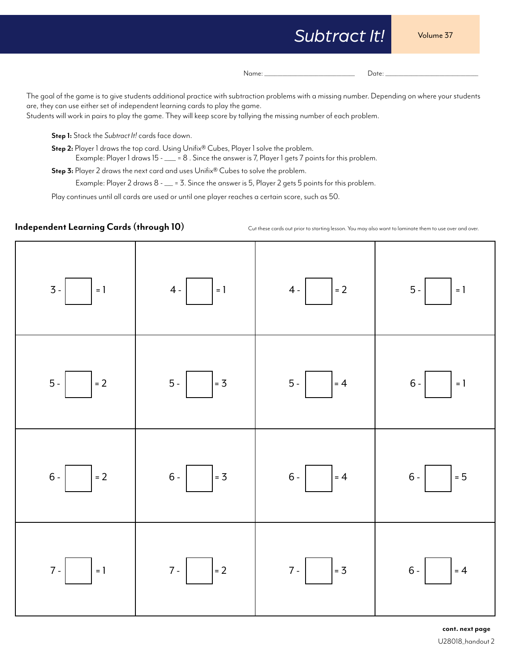# *Subtract It!*

Volume 37

Name: \_\_\_\_\_\_\_\_\_\_\_\_\_\_\_\_\_\_\_\_\_\_\_\_\_\_\_\_\_\_\_\_\_\_\_ Date: \_\_\_\_\_\_\_\_\_\_\_\_\_\_\_\_\_\_\_\_\_\_\_\_\_\_\_\_\_\_\_\_\_\_\_\_

The goal of the game is to give students additional practice with subtraction problems with a missing number. Depending on where your students are, they can use either set of independent learning cards to play the game.

Students will work in pairs to play the game. They will keep score by tallying the missing number of each problem.

**Step 1:** Stack the *Subtract It!* cards face down.

**Step 2:** Player 1 draws the top card. Using Unifix® Cubes, Player 1 solve the problem. Example: Player 1 draws 15 - \_\_\_ = 8. Since the answer is 7, Player 1 gets 7 points for this problem.

**Step 3:** Player 2 draws the next card and uses Unifix® Cubes to solve the problem.

Example: Player 2 draws 8 - \_\_ = 3. Since the answer is 5, Player 2 gets 5 points for this problem.

Play continues until all cards are used or until one player reaches a certain score, such as 50.

**Independent Learning Cards (through 10)**

Cut these cards out prior to starting lesson. You may also want to laminate them to use over and over.

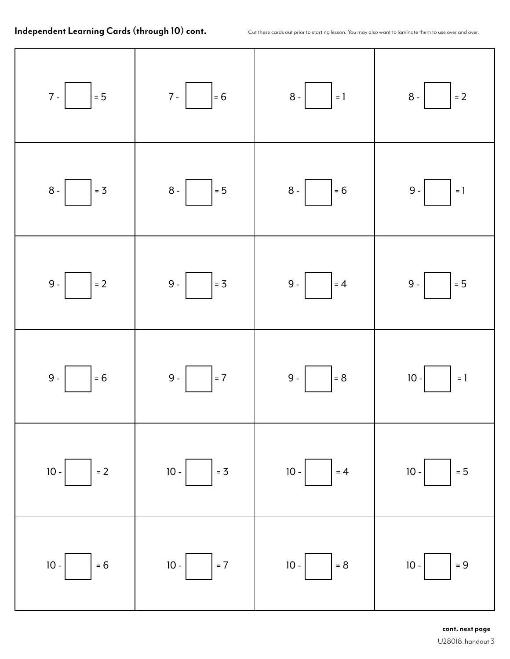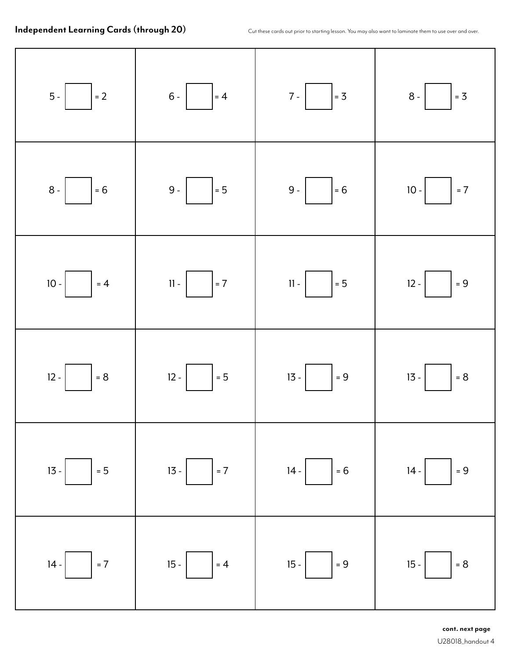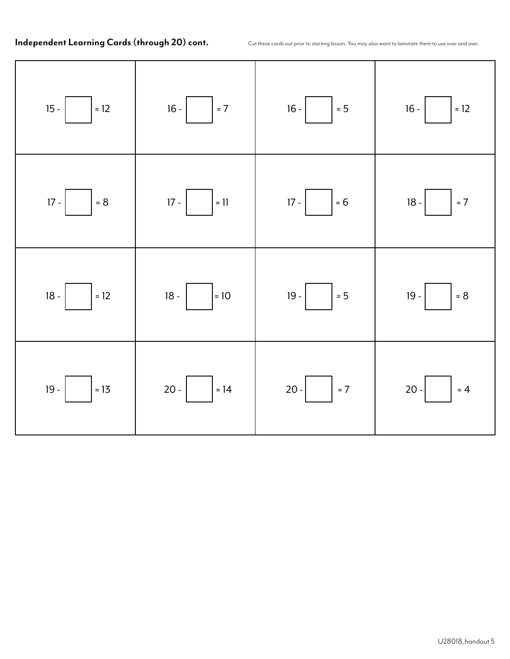